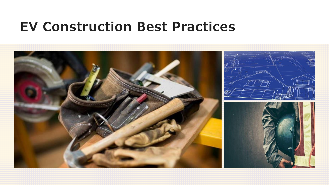# **EV Construction Best Practices**

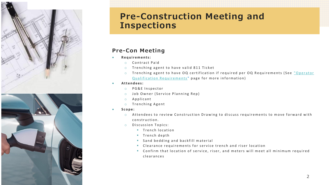

# **Pre-Construction Meeting and Inspections**

### **Pre-Con Meeting**

- **R e q u i r e m e n t s :**
	- o Contract Paid
	- $\circ$  Trenching agent to have valid 811 Ticket
	- o Trenching agent to have OQ certification if required per OQ Requirements (See "Operator Qualification Requirements" page for more information)
- **A t t e n d e e s :**
	- o PG&E Inspector
	- o Job Owner (Service Planning Rep)
	- $\circ$  Applicant
	- $\circ$  Trenching Agent
- **S c o p e :**
	- $\circ$  Attendees to review Construction Drawing to discuss requirements to move forward with construction.
	- $\circ$  Discussion Topics:
		- **■** Trench location
		- **■** Trench depth
		- Sand bedding and backfill material
		- " Clearance requirements for service trench and riser location
		- " Confirm that location of service, riser, and meters will meet all minimum required c l e a r a n c e s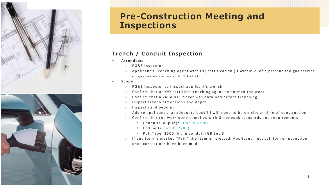

# **Pre-Construction Meeting and Inspections**

### **Trench / Conduit Inspection**

- **A t t e n d e e s :**
	- o PG&E Inspector
	- $\circ$  Applicant's Trenching Agent with OQ certification (if within 2' of a pressurized gas service or gas main) and valid 811 ticket

### • **S c o p e :**

- $\circ$  PG&E Inspector to inspect applicant's trench
- $\circ$  Confirm that an OQ certified trenching agent performed the work
- $\circ$  Confirm that a valid 811 ticket was obtained before trenching
- $\circ$  Inspect trench dimensions and depth
- $\circ$  Inspect sand bedding
- $\circ$  Advise applicant that adequate backfill will need to be on-site at time of construction
- $\circ$  Confirm that the work done complies with Greenbook standards and requirements
	- Conduit/Couplings (Doc 062288)
	- $\blacksquare$  End Bells (Doc 062288)
	- Pull Tape, 2500 lb., in conduit (GB Sec 3)
- $\circ$  If any item is marked "Fail," the item is rejected. Applicant must call for re-inspection once corrections have been made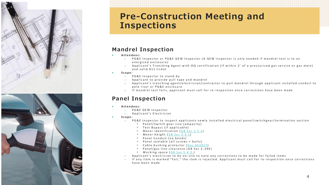

# Presentation title 4

# **Pre-Construction Meeting and Inspections**

### **Mandrel Inspection**

- **A t t e n d e e s :**
	- $\circ$  P G & E Inspector or P G & E Q E W Inspector (A Q E W inspector is only needed if mandrel test is to an en ergized enclosure)
	- $\circ$  Applicant's Trenching Agent with OQ certification (if within 2' of a pressurized gas service or gas main) and valid 811 ticket
- **S c o p e :**
	- o P G & E Inspector to stand-by
	- $\circ$  Applicant to provide pull tape and mandrel
	- $\circ$  Applicant's trenching agent/electrician/contractor to pull mandrel through applicant installed conduit to pole riser or PG&E enclosure
	- $\circ$  If mandrel test fails, applicant must call for re-inspection once corrections have been made

### **Panel Inspection**

- **A t t e n d e e s :**
	- P G & E Q E W Inspector
	- $\circ$  Applicant's Electrician
- **S c o p e :**
	- $\circ$  PG&E Inspector to inspect applicants newly installed electrical panel/switchgear/termination section
		- Panel/Switch gear size (ampacity)
		- Test Bypass (if applicable)
		- **■** Meter identification (GB Sec 5.5.1)
		- $\blacksquare$  Meter Height (GB Sec 5.4.1)
		- Panel Conduit (no bends)
		- Panel sealable (all screws + bolts)
		- Cable bushing protector (Doc 063927)
		- Panel/gas line clearance (GB Sec 2-29E)
		- Working space (GB Sec 5.4.3.)
	- Applicant's electrician to be on-site to note any corrections to be made for failed items
	- $\circ$  If any item is marked "Fail," the item is rejected. Applicant must call for re-inspection once corrections have been made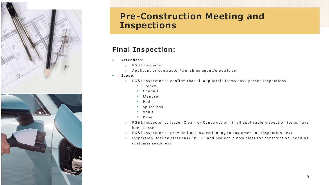

# **Pre-Construction Meeting and Inspections**

## **Final Inspection:**

- **A t t e n d e e s :**
	- o PG&E Inspector
	- o Applicant or contractor/trenching agent/electrician
- **S c o p e :**
	- $\circ$  PG&E Inspector to confirm that all applicable items have passed inspections
		- Trench
		- Conduit
		- Mandrel
		- P a d
		- Splice box
		- Vault
		- Panel
	- o PG&E Inspector to issue "Clear for Construction" if all applicable inspection items have been passed
	- $\circ$  PG&E Inspector to provide final inspection log to customer and inspection desk
	- $\circ$  Inspection Desk to clear task "PC10" and project is now clear for construction, pending customer readiness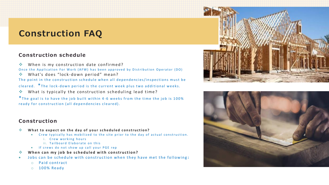# **Construction FAQ**

### **Construction schedule**

❖ When is my construction date confirmed?

Once the Application For Work (AFW) has been approved by Distribution Operator (DO)

❖ What's does "lock-down period" mean?

The point in the construction schedule when all dependencies/inspections must be

cleared. \* The lock-down period is the current week plus two additional weeks.

 $\diamond$  What is typically the construction scheduling lead time?

\* The goal is to have the job built within 4-6 weeks from the time the job is 100% ready for construction (all dependencies cleared).

### **Construction**

- <sup>❖</sup> What to expect on the day of your scheduled construction?
	- Crew typically has mobilized to the site prior to the day of actual construction.
		- i. Crew working hours
		- ii. Tailboard Elaborate on this
	- If crews do not show up call your PGE rep
- When can my job be scheduled with construction?
- Jobs can be schedule with construction when they have met the following:
	- $\circ$  Paid contract
	- $\circ$  100% Ready